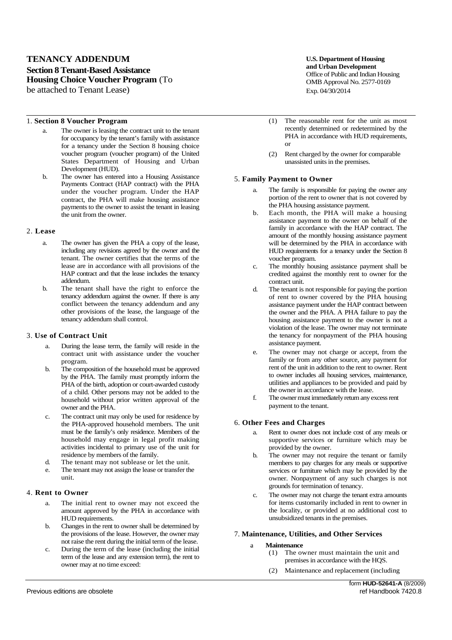# **TENANCY ADDENDUM Section 8 Tenant-Based Assistance Housing Choice Voucher Program** (To

be attached to Tenant Lease)

# 1. **Section 8 Voucher Program**

- a. The owner is leasing the contract unit to the tenant for occupancy by the tenant's family with assistance for a tenancy under the Section 8 housing choice voucher program (voucher program) of the United States Department of Housing and Urban Development (HUD).
- b. The owner has entered into a Housing Assistance Payments Contract (HAP contract) with the PHA under the voucher program. Under the HAP contract, the PHA will make housing assistance payments to the owner to assist the tenant in leasing the unit from the owner.

## 2. **Lease**

- a. The owner has given the PHA a copy of the lease, including any revisions agreed by the owner and the tenant. The owner certifies that the terms of the lease are in accordance with all provisions of the HAP contract and that the lease includes the tenancy addendum.
- b. The tenant shall have the right to enforce the tenancy addendum against the owner. If there is any conflict between the tenancy addendum and any other provisions of the lease, the language of the tenancy addendum shall control.

# 3. **Use of Contract Unit**

- a. During the lease term, the family will reside in the contract unit with assistance under the voucher program.
- b. The composition of the household must be approved by the PHA. The family must promptly inform the PHA of the birth, adoption or court-awarded custody of a child. Other persons may not be added to the household without prior written approval of the owner and the PHA.
- c. The contract unit may only be used for residence by the PHA-approved household members. The unit must be the family's only residence. Members of the household may engage in legal profit making activities incidental to primary use of the unit for residence by members of the family.
- d. The tenant may not sublease or let the unit.
- e. The tenant may not assign the lease or transfer the unit.

# 4. **Rent to Owner**

- a. The initial rent to owner may not exceed the amount approved by the PHA in accordance with HUD requirements.
- b. Changes in the rent to owner shall be determined by the provisions of the lease. However, the owner may not raise the rent during the initial term of the lease.
- c. During the term of the lease (including the initial term of the lease and any extension term), the rent to owner may at no time exceed:

**U.S. Department of Housing and Urban Development** Office of Public and Indian Housing OMB Approval No. 2577-0169 Exp. 04/30/2014

- (1) The reasonable rent for the unit as most recently determined or redetermined by the PHA in accordance with HUD requirements, or
- (2) Rent charged by the owner for comparable unassisted units in the premises.

## 5. **Family Payment to Owner**

- a. The family is responsible for paying the owner any portion of the rent to owner that is not covered by the PHA housing assistance payment.
- b. Each month, the PHA will make a housing assistance payment to the owner on behalf of the family in accordance with the HAP contract. The amount of the monthly housing assistance payment will be determined by the PHA in accordance with HUD requirements for a tenancy under the Section 8 voucher program.
- c. The monthly housing assistance payment shall be credited against the monthly rent to owner for the contract unit.
- d. The tenant is not responsible for paying the portion of rent to owner covered by the PHA housing assistance payment under the HAP contract between the owner and the PHA. A PHA failure to pay the housing assistance payment to the owner is not a violation of the lease. The owner may not terminate the tenancy for nonpayment of the PHA housing assistance payment.
- e. The owner may not charge or accept, from the family or from any other source, any payment for rent of the unit in addition to the rent to owner. Rent to owner includes all housing services, maintenance, utilities and appliances to be provided and paid by the owner in accordance with the lease.
- f. The owner must immediatelyreturn anyexcess rent payment to the tenant.

# 6. **Other Fees and Charges**

- a. Rent to owner does not include cost of any meals or supportive services or furniture which may be provided by the owner.
- b. The owner may not require the tenant or family members to pay charges for any meals or supportive services or furniture which may be provided by the owner. Nonpayment of any such charges is not grounds for termination of tenancy.
- c. The owner may not charge the tenant extra amounts for items customarily included in rent to owner in the locality, or provided at no additional cost to unsubsidized tenants in the premises.

## 7. **Maintenance, Utilities, and Other Services**

## a. **Maintenance**

- (1) The owner must maintain the unit and premises in accordance with the HQS.
- (2) Maintenance and replacement (including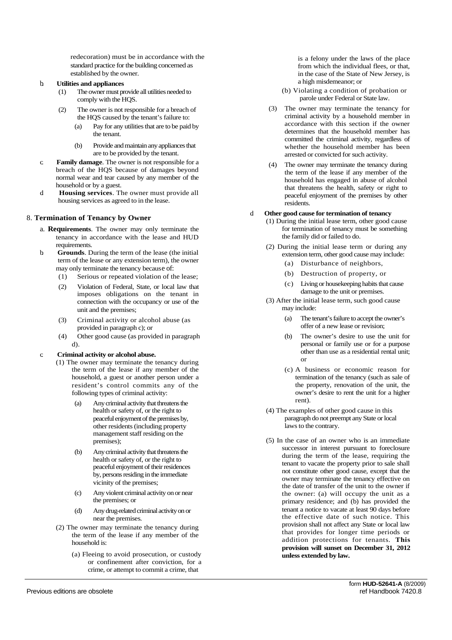redecoration) must be in accordance with the standard practice for the building concerned as established by the owner.

#### b. **Utilities and appliances**

- (1) The owner must provide all utilities needed to comply with the HQS.
- (2) The owner is not responsible for a breach of the HQS caused by the tenant's failure to:
	- (a) Pay for any utilities that are to be paid by the tenant.
	- (b) Provide and maintain any appliances that are to be provided by the tenant.
- c. **Family damage**. The owner is not responsible for a breach of the HQS because of damages beyond normal wear and tear caused by any member of the household or by a guest.
- d. **Housing services**. The owner must provide all housing services as agreed to in the lease.

## 8. **Termination of Tenancy by Owner**

- a. **Requirements**. The owner may only terminate the tenancy in accordance with the lease and HUD requirements.
- b. **Grounds**. During the term of the lease (the initial term of the lease or any extension term), the owner may only terminate the tenancy because of:
	- (1) Serious or repeated violation of the lease;
	- (2) Violation of Federal, State, or local law that imposes obligations on the tenant in connection with the occupancy or use of the unit and the premises;
	- (3) Criminal activity or alcohol abuse (as provided in paragraph c); or
	- (4) Other good cause (as provided in paragraph d).

## c. **Criminal activity or alcohol abuse.**

- (1) The owner may terminate the tenancy during the term of the lease if any member of the household, a guest or another person under a resident's control commits any of the following types of criminal activity:
	- (a) Any criminal activity that threatens the health or safety of, or the right to peaceful enjoyment of the premises by, other residents (including property management staff residing on the premises);
	- (b) Any criminal activity that threatens the health or safety of, or the right to peaceful enjoyment of their residences by, persons residing in the immediate vicinity of the premises;
	- (c) Any violent criminal activity onor near the premises; or
	- (d) Any drug-related criminal activity on or near the premises.
- (2) The owner may terminate the tenancy during the term of the lease if any member of the household is:
	- (a) Fleeing to avoid prosecution, or custody or confinement after conviction, for a crime, or attempt to commit a crime, that

is a felony under the laws of the place from which the individual flees, or that, in the case of the State of New Jersey, is a high misdemeanor; or

- (b) Violating a condition of probation or parole under Federal or State law.
- (3) The owner may terminate the tenancy for criminal activity by a household member in accordance with this section if the owner determines that the household member has committed the criminal activity, regardless of whether the household member has been arrested or convicted for such activity.
- (4) The owner may terminate the tenancy during the term of the lease if any member of the household has engaged in abuse of alcohol that threatens the health, safety or right to peaceful enjoyment of the premises by other residents.

## d. **Other good cause for termination of tenancy**

- (1) During the initial lease term, other good cause for termination of tenancy must be something the family did or failed to do.
- (2) During the initial lease term or during any extension term, other good cause may include:
	- (a) Disturbance of neighbors,
	- (b) Destruction of property, or
	- (c) Living or housekeeping habits that cause damage to the unit or premises.
- (3) After the initial lease term, such good cause may include:
	- (a) The tenant's failure to accept the owner's offer of a new lease or revision;
	- (b) The owner's desire to use the unit for personal or family use or for a purpose other than use as a residential rental unit; or
	- (c) A business or economic reason for termination of the tenancy (such as sale of the property, renovation of the unit, the owner's desire to rent the unit for a higher rent).
- (4) The examples of other good cause in this paragraph do not preempt any State or local laws to the contrary.
- (5) In the case of an owner who is an immediate successor in interest pursuant to foreclosure during the term of the lease, requiring the tenant to vacate the property prior to sale shall not constitute other good cause, except that the owner may terminate the tenancy effective on the date of transfer of the unit to the owner if the owner: (a) will occupy the unit as a primary residence; and (b) has provided the tenant a notice to vacate at least 90 days before the effective date of such notice. This provision shall not affect any State or local law that provides for longer time periods or addition protections for tenants. **This provision will sunset on December 31, 2012 unless extended by law.**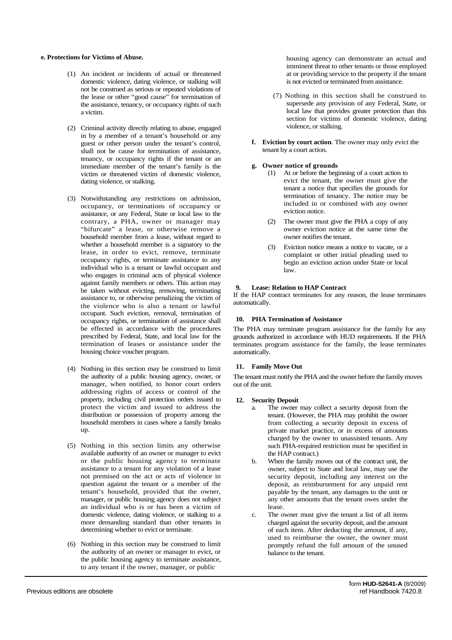#### **e. Protections for Victims of Abuse.**

- (1) An incident or incidents of actual or threatened domestic violence, dating violence, or stalking will not be construed as serious or repeated violations of the lease or other "good cause" for termination of the assistance, tenancy, or occupancy rights of such a victim.
- (2) Criminal activity directly relating to abuse, engaged in by a member of a tenant's household or any guest or other person under the tenant's control, shall not be cause for termination of assistance, tenancy, or occupancy rights if the tenant or an immediate member of the tenant's family is the victim or threatened victim of domestic violence, dating violence, or stalking.
- (3) Notwithstanding any restrictions on admission, occupancy, or terminations of occupancy or assistance, or any Federal, State or local law to the contrary, a PHA, owner or manager may "bifurcate" a lease, or otherwise remove a household member from a lease, without regard to whether a household member is a signatory to the lease, in order to evict, remove, terminate occupancy rights, or terminate assistance to any individual who is a tenant or lawful occupant and who engages in criminal acts of physical violence against family members or others. This action may be taken without evicting, removing, terminating assistance to, or otherwise penalizing the victim of the violence who is also a tenant or lawful occupant. Such eviction, removal, termination of occupancy rights, or termination of assistance shall be effected in accordance with the procedures prescribed by Federal, State, and local law for the termination of leases or assistance under the housing choice voucher program.
- (4) Nothing in this section may be construed to limit the authority of a public housing agency, owner, or manager, when notified, to honor court orders addressing rights of access or control of the property, including civil protection orders issued to protect the victim and issued to address the distribution or possession of property among the household members in cases where a family breaks up.
- (5) Nothing in this section limits any otherwise available authority of an owner or manager to evict or the public housing agency to terminate assistance to a tenant for any violation of a lease not premised on the act or acts of violence in question against the tenant or a member of the tenant's household, provided that the owner, manager, or public housing agency does not subject an individual who is or has been a victim of domestic violence, dating violence, or stalking to a more demanding standard than other tenants in determining whether to evict or terminate.
- (6) Nothing in this section may be construed to limit the authority of an owner or manager to evict, or the public housing agency to terminate assistance, to any tenant if the owner, manager, or public

housing agency can demonstrate an actual and imminent threat to other tenants or those employed at or providing service to the property if the tenant is not evicted or terminated from assistance.

- (7) Nothing in this section shall be construed to supersede any provision of any Federal, State, or local law that provides greater protection than this section for victims of domestic violence, dating violence, or stalking.
- **f. Eviction by court action**. The owner may only evict the tenant by a court action.
- **g. Owner notice of grounds**
	- (1) At or before the beginning of a court action to evict the tenant, the owner must give the tenant a notice that specifies the grounds for termination of tenancy. The notice may be included in or combined with any owner eviction notice.
	- (2) The owner must give the PHA a copy of any owner eviction notice at the same time the owner notifies the tenant.
	- (3) Eviction notice means a notice to vacate, or a complaint or other initial pleading used to begin an eviction action under State or local law.

#### **9. Lease: Relation to HAP Contract**

If the HAP contract terminates for any reason, the lease terminates automatically.

#### **10. PHA Termination of Assistance**

The PHA may terminate program assistance for the family for any grounds authorized in accordance with HUD requirements. If the PHA terminates program assistance for the family, the lease terminates automatically.

#### **11. Family Move Out**

The tenant must notify the PHA and the owner before the family moves out of the unit.

#### **12. Security Deposit**

- a. The owner may collect a security deposit from the tenant. (However, the PHA may prohibit the owner from collecting a security deposit in excess of private market practice, or in excess of amounts charged by the owner to unassisted tenants. Any such PHA-required restriction must be specified in the HAP contract.)
- b. When the family moves out of the contract unit, the owner, subject to State and local law, may use the security deposit, including any interest on the deposit, as reimbursement for any unpaid rent payable by the tenant, any damages to the unit or any other amounts that the tenant owes under the lease.
- c. The owner must give the tenant a list of all items charged against the security deposit, and the amount of each item. After deducting the amount, if any, used to reimburse the owner, the owner must promptly refund the full amount of the unused balance to the tenant.